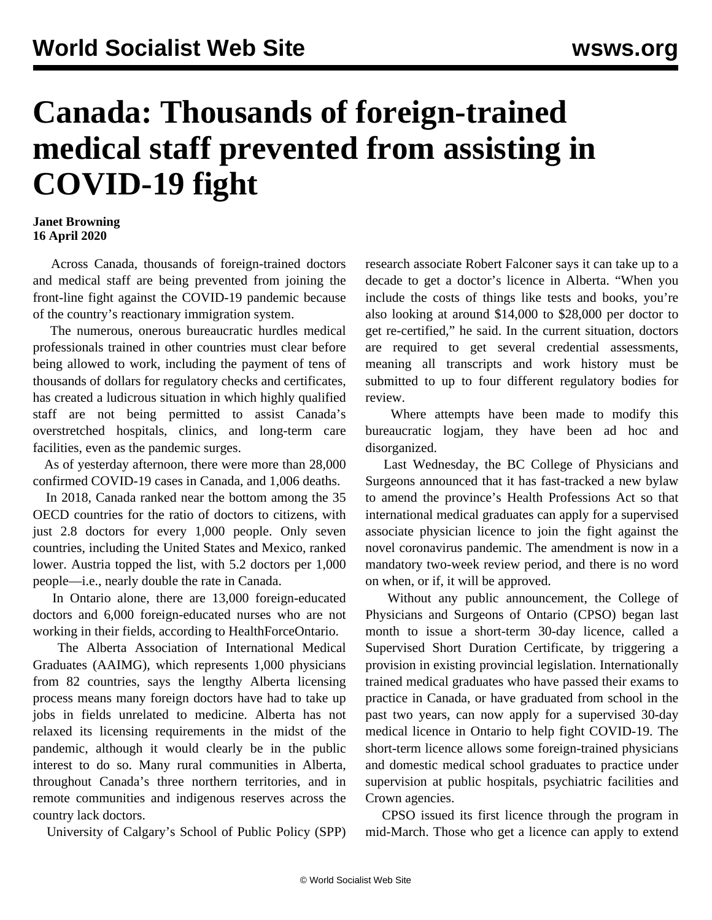## **Canada: Thousands of foreign-trained medical staff prevented from assisting in COVID-19 fight**

## **Janet Browning 16 April 2020**

 Across Canada, thousands of foreign-trained doctors and medical staff are being prevented from joining the front-line fight against the COVID-19 pandemic because of the country's reactionary immigration system.

 The numerous, onerous bureaucratic hurdles medical professionals trained in other countries must clear before being allowed to work, including the payment of tens of thousands of dollars for regulatory checks and certificates, has created a ludicrous situation in which highly qualified staff are not being permitted to assist Canada's overstretched hospitals, clinics, and long-term care facilities, even as the pandemic surges.

 As of yesterday afternoon, there were more than 28,000 confirmed COVID-19 cases in Canada, and 1,006 deaths.

 In 2018, Canada ranked near the bottom among the 35 OECD countries for the ratio of doctors to citizens, with just 2.8 doctors for every 1,000 people. Only seven countries, including the United States and Mexico, ranked lower. Austria topped the list, with 5.2 doctors per 1,000 people—i.e., nearly double the rate in Canada.

 In Ontario alone, there are 13,000 foreign-educated doctors and 6,000 foreign-educated nurses who are not working in their fields, according to HealthForceOntario.

 The Alberta Association of International Medical Graduates (AAIMG), which represents 1,000 physicians from 82 countries, says the lengthy Alberta licensing process means many foreign doctors have had to take up jobs in fields unrelated to medicine. Alberta has not relaxed its licensing requirements in the midst of the pandemic, although it would clearly be in the public interest to do so. Many rural communities in Alberta, throughout Canada's three northern territories, and in remote communities and indigenous reserves across the country lack doctors.

University of Calgary's School of Public Policy (SPP)

research associate Robert Falconer says it can take up to a decade to get a doctor's licence in Alberta. "When you include the costs of things like tests and books, you're also looking at around \$14,000 to \$28,000 per doctor to get re-certified," he said. In the current situation, doctors are required to get several credential assessments, meaning all transcripts and work history must be submitted to up to four different regulatory bodies for review.

 Where attempts have been made to modify this bureaucratic logjam, they have been ad hoc and disorganized.

 Last Wednesday, the BC College of Physicians and Surgeons announced that it has fast-tracked a new bylaw to amend the province's Health Professions Act so that international medical graduates can apply for a supervised associate physician licence to join the fight against the novel coronavirus pandemic. The amendment is now in a mandatory two-week review period, and there is no word on when, or if, it will be approved.

 Without any public announcement, the College of Physicians and Surgeons of Ontario (CPSO) began last month to issue a short-term 30-day licence, called a Supervised Short Duration Certificate, by triggering a provision in existing provincial legislation. Internationally trained medical graduates who have passed their exams to practice in Canada, or have graduated from school in the past two years, can now apply for a supervised 30-day medical licence in Ontario to help fight COVID-19. The short-term licence allows some foreign-trained physicians and domestic medical school graduates to practice under supervision at public hospitals, psychiatric facilities and Crown agencies.

 CPSO issued its first licence through the program in mid-March. Those who get a licence can apply to extend